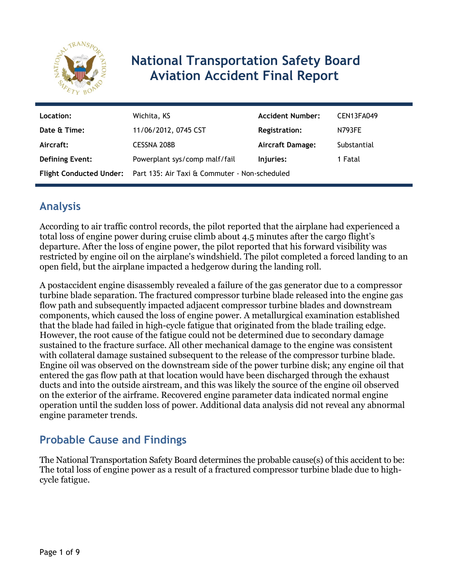

# **National Transportation Safety Board Aviation Accident Final Report**

| Location:              | Wichita, KS                                                           | <b>Accident Number:</b> | CEN13FA049    |
|------------------------|-----------------------------------------------------------------------|-------------------------|---------------|
| Date & Time:           | 11/06/2012, 0745 CST                                                  | <b>Registration:</b>    | <b>N793FE</b> |
| Aircraft:              | <b>CESSNA 208B</b>                                                    | Aircraft Damage:        | Substantial   |
| <b>Defining Event:</b> | Powerplant sys/comp malf/fail                                         | Injuries:               | 1 Fatal       |
|                        | Flight Conducted Under: Part 135: Air Taxi & Commuter - Non-scheduled |                         |               |

## **Analysis**

According to air traffic control records, the pilot reported that the airplane had experienced a total loss of engine power during cruise climb about 4.5 minutes after the cargo flight's departure. After the loss of engine power, the pilot reported that his forward visibility was restricted by engine oil on the airplane's windshield. The pilot completed a forced landing to an open field, but the airplane impacted a hedgerow during the landing roll.

A postaccident engine disassembly revealed a failure of the gas generator due to a compressor turbine blade separation. The fractured compressor turbine blade released into the engine gas flow path and subsequently impacted adjacent compressor turbine blades and downstream components, which caused the loss of engine power. A metallurgical examination established that the blade had failed in high-cycle fatigue that originated from the blade trailing edge. However, the root cause of the fatigue could not be determined due to secondary damage sustained to the fracture surface. All other mechanical damage to the engine was consistent with collateral damage sustained subsequent to the release of the compressor turbine blade. Engine oil was observed on the downstream side of the power turbine disk; any engine oil that entered the gas flow path at that location would have been discharged through the exhaust ducts and into the outside airstream, and this was likely the source of the engine oil observed on the exterior of the airframe. Recovered engine parameter data indicated normal engine operation until the sudden loss of power. Additional data analysis did not reveal any abnormal engine parameter trends.

# **Probable Cause and Findings**

The National Transportation Safety Board determines the probable cause(s) of this accident to be: The total loss of engine power as a result of a fractured compressor turbine blade due to highcycle fatigue.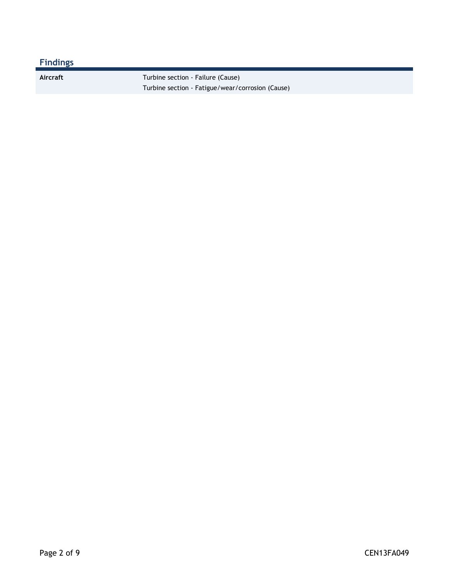### **Findings**

Aircraft **Turbine section - Failure (Cause)** Turbine section - Fatigue/wear/corrosion (Cause)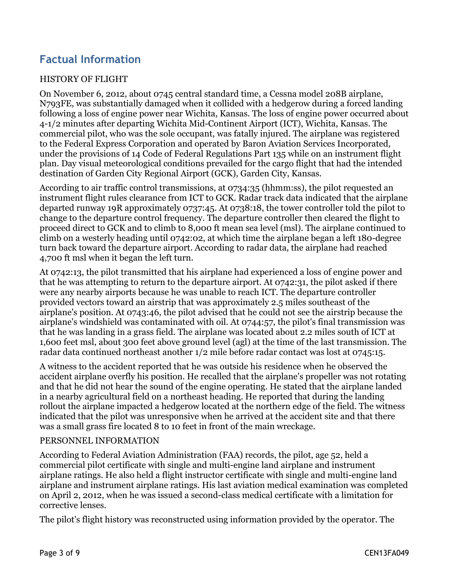## **Factual Information**

#### HISTORY OF FLIGHT

On November 6, 2012, about 0745 central standard time, a Cessna model 208B airplane, N793FE, was substantially damaged when it collided with a hedgerow during a forced landing following a loss of engine power near Wichita, Kansas. The loss of engine power occurred about 4-1/2 minutes after departing Wichita Mid-Continent Airport (ICT), Wichita, Kansas. The commercial pilot, who was the sole occupant, was fatally injured. The airplane was registered to the Federal Express Corporation and operated by Baron Aviation Services Incorporated, under the provisions of 14 Code of Federal Regulations Part 135 while on an instrument flight plan. Day visual meteorological conditions prevailed for the cargo flight that had the intended destination of Garden City Regional Airport (GCK), Garden City, Kansas.

According to air traffic control transmissions, at 0734:35 (hhmm:ss), the pilot requested an instrument flight rules clearance from ICT to GCK. Radar track data indicated that the airplane departed runway 19R approximately 0737:45. At 0738:18, the tower controller told the pilot to change to the departure control frequency. The departure controller then cleared the flight to proceed direct to GCK and to climb to 8,000 ft mean sea level (msl). The airplane continued to climb on a westerly heading until 0742:02, at which time the airplane began a left 180-degree turn back toward the departure airport. According to radar data, the airplane had reached 4,700 ft msl when it began the left turn.

At 0742:13, the pilot transmitted that his airplane had experienced a loss of engine power and that he was attempting to return to the departure airport. At 0742:31, the pilot asked if there were any nearby airports because he was unable to reach ICT. The departure controller provided vectors toward an airstrip that was approximately 2.5 miles southeast of the airplane's position. At 0743:46, the pilot advised that he could not see the airstrip because the airplane's windshield was contaminated with oil. At 0744:57, the pilot's final transmission was that he was landing in a grass field. The airplane was located about 2.2 miles south of ICT at 1,600 feet msl, about 300 feet above ground level (agl) at the time of the last transmission. The radar data continued northeast another 1/2 mile before radar contact was lost at 0745:15.

A witness to the accident reported that he was outside his residence when he observed the accident airplane overfly his position. He recalled that the airplane's propeller was not rotating and that he did not hear the sound of the engine operating. He stated that the airplane landed in a nearby agricultural field on a northeast heading. He reported that during the landing rollout the airplane impacted a hedgerow located at the northern edge of the field. The witness indicated that the pilot was unresponsive when he arrived at the accident site and that there was a small grass fire located 8 to 10 feet in front of the main wreckage.

#### PERSONNEL INFORMATION

According to Federal Aviation Administration (FAA) records, the pilot, age 52, held a commercial pilot certificate with single and multi-engine land airplane and instrument airplane ratings. He also held a flight instructor certificate with single and multi-engine land airplane and instrument airplane ratings. His last aviation medical examination was completed on April 2, 2012, when he was issued a second-class medical certificate with a limitation for corrective lenses.

The pilot's flight history was reconstructed using information provided by the operator. The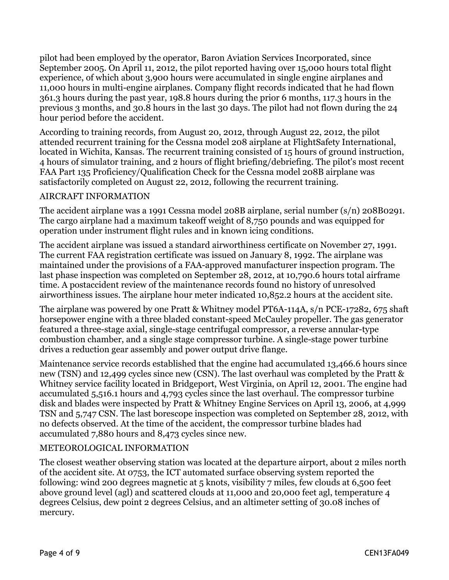pilot had been employed by the operator, Baron Aviation Services Incorporated, since September 2005. On April 11, 2012, the pilot reported having over 15,000 hours total flight experience, of which about 3,900 hours were accumulated in single engine airplanes and 11,000 hours in multi-engine airplanes. Company flight records indicated that he had flown 361.3 hours during the past year, 198.8 hours during the prior 6 months, 117.3 hours in the previous 3 months, and 30.8 hours in the last 30 days. The pilot had not flown during the 24 hour period before the accident.

According to training records, from August 20, 2012, through August 22, 2012, the pilot attended recurrent training for the Cessna model 208 airplane at FlightSafety International, located in Wichita, Kansas. The recurrent training consisted of 15 hours of ground instruction, 4 hours of simulator training, and 2 hours of flight briefing/debriefing. The pilot's most recent FAA Part 135 Proficiency/Qualification Check for the Cessna model 208B airplane was satisfactorily completed on August 22, 2012, following the recurrent training.

#### AIRCRAFT INFORMATION

The accident airplane was a 1991 Cessna model 208B airplane, serial number (s/n) 208B0291. The cargo airplane had a maximum takeoff weight of 8,750 pounds and was equipped for operation under instrument flight rules and in known icing conditions.

The accident airplane was issued a standard airworthiness certificate on November 27, 1991. The current FAA registration certificate was issued on January 8, 1992. The airplane was maintained under the provisions of a FAA-approved manufacturer inspection program. The last phase inspection was completed on September 28, 2012, at 10,790.6 hours total airframe time. A postaccident review of the maintenance records found no history of unresolved airworthiness issues. The airplane hour meter indicated 10,852.2 hours at the accident site.

The airplane was powered by one Pratt & Whitney model PT6A-114A, s/n PCE-17282, 675 shaft horsepower engine with a three bladed constant-speed McCauley propeller. The gas generator featured a three-stage axial, single-stage centrifugal compressor, a reverse annular-type combustion chamber, and a single stage compressor turbine. A single-stage power turbine drives a reduction gear assembly and power output drive flange.

Maintenance service records established that the engine had accumulated 13,466.6 hours since new (TSN) and 12,499 cycles since new (CSN). The last overhaul was completed by the Pratt & Whitney service facility located in Bridgeport, West Virginia, on April 12, 2001. The engine had accumulated 5,516.1 hours and 4,793 cycles since the last overhaul. The compressor turbine disk and blades were inspected by Pratt & Whitney Engine Services on April 13, 2006, at 4,999 TSN and 5,747 CSN. The last borescope inspection was completed on September 28, 2012, with no defects observed. At the time of the accident, the compressor turbine blades had accumulated 7,880 hours and 8,473 cycles since new.

#### METEOROLOGICAL INFORMATION

The closest weather observing station was located at the departure airport, about 2 miles north of the accident site. At 0753, the ICT automated surface observing system reported the following: wind 200 degrees magnetic at 5 knots, visibility 7 miles, few clouds at 6,500 feet above ground level (agl) and scattered clouds at 11,000 and 20,000 feet agl, temperature 4 degrees Celsius, dew point 2 degrees Celsius, and an altimeter setting of 30.08 inches of mercury.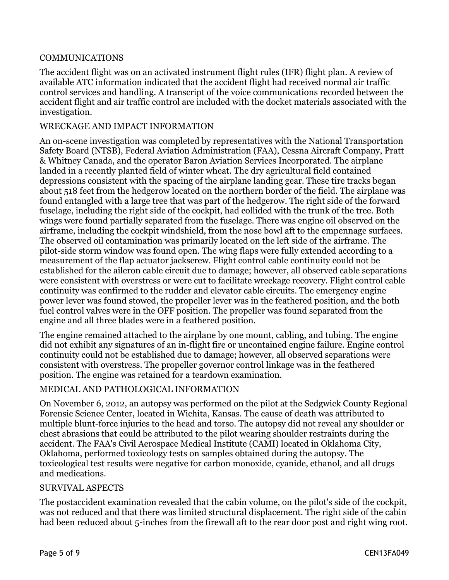#### COMMUNICATIONS

The accident flight was on an activated instrument flight rules (IFR) flight plan. A review of available ATC information indicated that the accident flight had received normal air traffic control services and handling. A transcript of the voice communications recorded between the accident flight and air traffic control are included with the docket materials associated with the investigation.

#### WRECKAGE AND IMPACT INFORMATION

An on-scene investigation was completed by representatives with the National Transportation Safety Board (NTSB), Federal Aviation Administration (FAA), Cessna Aircraft Company, Pratt & Whitney Canada, and the operator Baron Aviation Services Incorporated. The airplane landed in a recently planted field of winter wheat. The dry agricultural field contained depressions consistent with the spacing of the airplane landing gear. These tire tracks began about 518 feet from the hedgerow located on the northern border of the field. The airplane was found entangled with a large tree that was part of the hedgerow. The right side of the forward fuselage, including the right side of the cockpit, had collided with the trunk of the tree. Both wings were found partially separated from the fuselage. There was engine oil observed on the airframe, including the cockpit windshield, from the nose bowl aft to the empennage surfaces. The observed oil contamination was primarily located on the left side of the airframe. The pilot-side storm window was found open. The wing flaps were fully extended according to a measurement of the flap actuator jackscrew. Flight control cable continuity could not be established for the aileron cable circuit due to damage; however, all observed cable separations were consistent with overstress or were cut to facilitate wreckage recovery. Flight control cable continuity was confirmed to the rudder and elevator cable circuits. The emergency engine power lever was found stowed, the propeller lever was in the feathered position, and the both fuel control valves were in the OFF position. The propeller was found separated from the engine and all three blades were in a feathered position.

The engine remained attached to the airplane by one mount, cabling, and tubing. The engine did not exhibit any signatures of an in-flight fire or uncontained engine failure. Engine control continuity could not be established due to damage; however, all observed separations were consistent with overstress. The propeller governor control linkage was in the feathered position. The engine was retained for a teardown examination.

#### MEDICAL AND PATHOLOGICAL INFORMATION

On November 6, 2012, an autopsy was performed on the pilot at the Sedgwick County Regional Forensic Science Center, located in Wichita, Kansas. The cause of death was attributed to multiple blunt-force injuries to the head and torso. The autopsy did not reveal any shoulder or chest abrasions that could be attributed to the pilot wearing shoulder restraints during the accident. The FAA's Civil Aerospace Medical Institute (CAMI) located in Oklahoma City, Oklahoma, performed toxicology tests on samples obtained during the autopsy. The toxicological test results were negative for carbon monoxide, cyanide, ethanol, and all drugs and medications.

#### SURVIVAL ASPECTS

The postaccident examination revealed that the cabin volume, on the pilot's side of the cockpit, was not reduced and that there was limited structural displacement. The right side of the cabin had been reduced about 5-inches from the firewall aft to the rear door post and right wing root.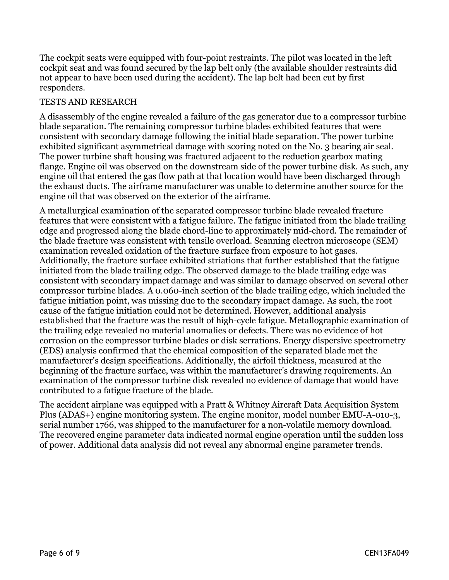The cockpit seats were equipped with four-point restraints. The pilot was located in the left cockpit seat and was found secured by the lap belt only (the available shoulder restraints did not appear to have been used during the accident). The lap belt had been cut by first responders.

#### TESTS AND RESEARCH

A disassembly of the engine revealed a failure of the gas generator due to a compressor turbine blade separation. The remaining compressor turbine blades exhibited features that were consistent with secondary damage following the initial blade separation. The power turbine exhibited significant asymmetrical damage with scoring noted on the No. 3 bearing air seal. The power turbine shaft housing was fractured adjacent to the reduction gearbox mating flange. Engine oil was observed on the downstream side of the power turbine disk. As such, any engine oil that entered the gas flow path at that location would have been discharged through the exhaust ducts. The airframe manufacturer was unable to determine another source for the engine oil that was observed on the exterior of the airframe.

A metallurgical examination of the separated compressor turbine blade revealed fracture features that were consistent with a fatigue failure. The fatigue initiated from the blade trailing edge and progressed along the blade chord-line to approximately mid-chord. The remainder of the blade fracture was consistent with tensile overload. Scanning electron microscope (SEM) examination revealed oxidation of the fracture surface from exposure to hot gases. Additionally, the fracture surface exhibited striations that further established that the fatigue initiated from the blade trailing edge. The observed damage to the blade trailing edge was consistent with secondary impact damage and was similar to damage observed on several other compressor turbine blades. A 0.060-inch section of the blade trailing edge, which included the fatigue initiation point, was missing due to the secondary impact damage. As such, the root cause of the fatigue initiation could not be determined. However, additional analysis established that the fracture was the result of high-cycle fatigue. Metallographic examination of the trailing edge revealed no material anomalies or defects. There was no evidence of hot corrosion on the compressor turbine blades or disk serrations. Energy dispersive spectrometry (EDS) analysis confirmed that the chemical composition of the separated blade met the manufacturer's design specifications. Additionally, the airfoil thickness, measured at the beginning of the fracture surface, was within the manufacturer's drawing requirements. An examination of the compressor turbine disk revealed no evidence of damage that would have contributed to a fatigue fracture of the blade.

The accident airplane was equipped with a Pratt & Whitney Aircraft Data Acquisition System Plus (ADAS+) engine monitoring system. The engine monitor, model number EMU-A-010-3, serial number 1766, was shipped to the manufacturer for a non-volatile memory download. The recovered engine parameter data indicated normal engine operation until the sudden loss of power. Additional data analysis did not reveal any abnormal engine parameter trends.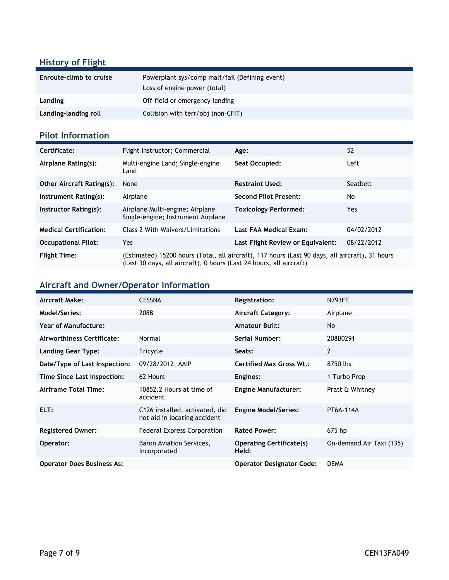### **History of Flight**

| Enroute-climb to cruise | Powerplant sys/comp malf/fail (Defining event)<br>Loss of engine power (total) |
|-------------------------|--------------------------------------------------------------------------------|
| Landing                 | Off-field or emergency landing                                                 |
| Landing-landing roll    | Collision with terr/obj (non-CFIT)                                             |

### **Pilot Information**

| Certificate:                     | Flight Instructor; Commercial                                                                                                                                          | Age:                              | 52         |
|----------------------------------|------------------------------------------------------------------------------------------------------------------------------------------------------------------------|-----------------------------------|------------|
| Airplane Rating(s):              | Multi-engine Land; Single-engine<br>Land                                                                                                                               | Seat Occupied:                    | Left       |
| <b>Other Aircraft Rating(s):</b> | None                                                                                                                                                                   | <b>Restraint Used:</b>            | Seatbelt   |
| Instrument Rating(s):            | Airplane                                                                                                                                                               | <b>Second Pilot Present:</b>      | No         |
| Instructor Rating(s):            | Airplane Multi-engine; Airplane<br>Single-engine; Instrument Airplane                                                                                                  | <b>Toxicology Performed:</b>      | Yes        |
| <b>Medical Certification:</b>    | Class 2 With Waivers/Limitations                                                                                                                                       | Last FAA Medical Exam:            | 04/02/2012 |
| <b>Occupational Pilot:</b>       | Yes                                                                                                                                                                    | Last Flight Review or Equivalent: | 08/22/2012 |
| <b>Flight Time:</b>              | (Estimated) 15200 hours (Total, all aircraft), 117 hours (Last 90 days, all aircraft), 31 hours<br>(Last 30 days, all aircraft), 0 hours (Last 24 hours, all aircraft) |                                   |            |

### **Aircraft and Owner/Operator Information**

| Aircraft Make:                    | <b>CESSNA</b>                                                  | <b>Registration:</b>                     | <b>N793FE</b>            |
|-----------------------------------|----------------------------------------------------------------|------------------------------------------|--------------------------|
| Model/Series:                     | 208B                                                           | <b>Aircraft Category:</b>                | Airplane                 |
| Year of Manufacture:              |                                                                | <b>Amateur Built:</b>                    | <b>No</b>                |
| Airworthiness Certificate:        | Normal                                                         | Serial Number:                           | 208B0291                 |
| <b>Landing Gear Type:</b>         | Tricycle                                                       | Seats:                                   | 2                        |
| Date/Type of Last Inspection:     | 09/28/2012, AAIP                                               | <b>Certified Max Gross Wt.:</b>          | 8750 lbs                 |
| Time Since Last Inspection:       | 62 Hours                                                       | Engines:                                 | 1 Turbo Prop             |
| Airframe Total Time:              | 10852.2 Hours at time of<br>accident                           | <b>Engine Manufacturer:</b>              | Pratt & Whitney          |
| ELT:                              | C126 installed, activated, did<br>not aid in locating accident | <b>Engine Model/Series:</b>              | PT6A-114A                |
| <b>Registered Owner:</b>          | <b>Federal Express Corporation</b>                             | <b>Rated Power:</b>                      | 675 hp                   |
| Operator:                         | Baron Aviation Services,<br>Incorporated                       | <b>Operating Certificate(s)</b><br>Held: | On-demand Air Taxi (135) |
| <b>Operator Does Business As:</b> |                                                                | <b>Operator Designator Code:</b>         | <b>DEMA</b>              |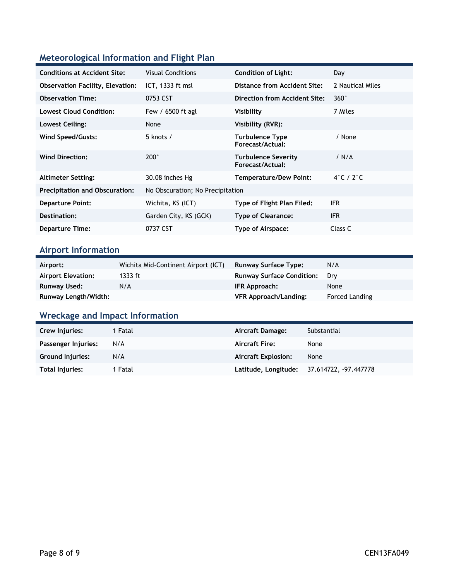### **Meteorological Information and Flight Plan**

| <b>Conditions at Accident Site:</b>     | <b>Visual Conditions</b>         | <b>Condition of Light:</b>                 | Day                        |
|-----------------------------------------|----------------------------------|--------------------------------------------|----------------------------|
| <b>Observation Facility, Elevation:</b> | $ICT, 1333$ ft msl               | Distance from Accident Site:               | 2 Nautical Miles           |
| <b>Observation Time:</b>                | 0753 CST                         | Direction from Accident Site:              | $360^\circ$                |
| <b>Lowest Cloud Condition:</b>          | Few / 6500 ft agl                | Visibility                                 | 7 Miles                    |
| Lowest Ceiling:                         | None                             | Visibility (RVR):                          |                            |
| Wind Speed/Gusts:                       | 5 knots /                        | <b>Turbulence Type</b><br>Forecast/Actual: | / None                     |
| <b>Wind Direction:</b>                  | $200^\circ$                      | Turbulence Severity<br>Forecast/Actual:    | / N/A                      |
| <b>Altimeter Setting:</b>               | 30.08 inches Hg                  | <b>Temperature/Dew Point:</b>              | $4^\circ$ C / 2 $^\circ$ C |
| <b>Precipitation and Obscuration:</b>   | No Obscuration; No Precipitation |                                            |                            |
| <b>Departure Point:</b>                 | Wichita, KS (ICT)                | Type of Flight Plan Filed:                 | <b>IFR</b>                 |
| Destination:                            | Garden City, KS (GCK)            | <b>Type of Clearance:</b>                  | <b>IFR</b>                 |
| <b>Departure Time:</b>                  | 0737 CST                         | Type of Airspace:                          | Class C                    |

### **Airport Information**

| Airport:             | Wichita Mid-Continent Airport (ICT) | <b>Runway Surface Type:</b>      | N/A            |
|----------------------|-------------------------------------|----------------------------------|----------------|
| Airport Elevation:   | 1333 ft                             | <b>Runway Surface Condition:</b> | Drv            |
| <b>Runway Used:</b>  | N/A                                 | IFR Approach:                    | None           |
| Runway Length/Width: |                                     | <b>VFR Approach/Landing:</b>     | Forced Landing |

# **Wreckage and Impact Information**

| Crew Injuries:          | 1 Fatal | Aircraft Damage:           | Substantial                                |
|-------------------------|---------|----------------------------|--------------------------------------------|
| Passenger Injuries:     | N/A     | <b>Aircraft Fire:</b>      | None                                       |
| <b>Ground Injuries:</b> | N/A     | <b>Aircraft Explosion:</b> | None                                       |
| Total Injuries:         | 1 Fatal |                            | Latitude, Longitude: 37.614722, -97.447778 |